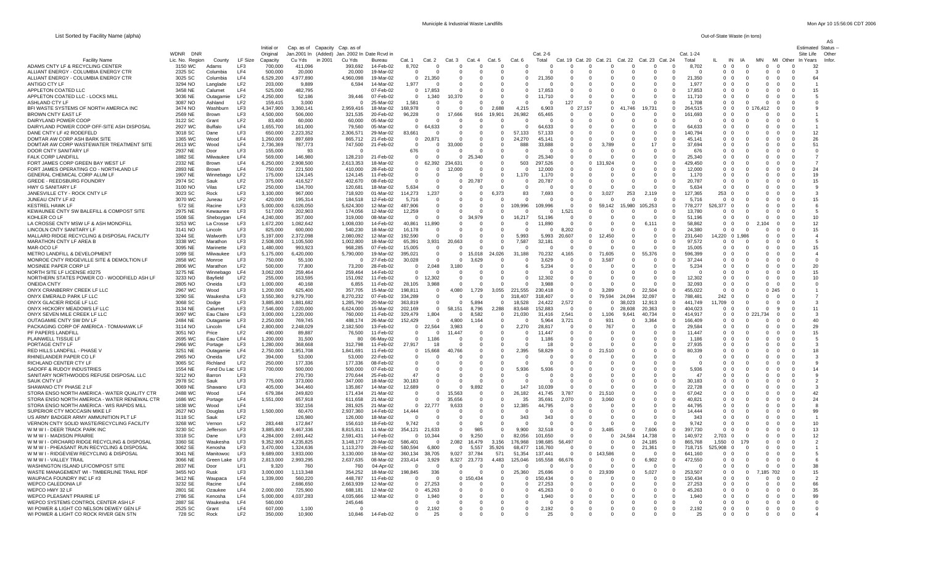List Sorted by Facility Name (alpha) Out-of-State Waste (in tons)

| Municiple & Industrial Waste Landfills | Mon Apr 10 15:56:06 CDT 2006 |
|----------------------------------------|------------------------------|
|                                        |                              |

|                                                                                             |                    |                        |                                    | Initial or             |                        |                                                                                  |                        |                               |                            |                              |                         |                          |                      |                    |                           |                                              |                  |                         |                                                 |                                                          |                      |                                                                            |                                        | AS                               |
|---------------------------------------------------------------------------------------------|--------------------|------------------------|------------------------------------|------------------------|------------------------|----------------------------------------------------------------------------------|------------------------|-------------------------------|----------------------------|------------------------------|-------------------------|--------------------------|----------------------|--------------------|---------------------------|----------------------------------------------|------------------|-------------------------|-------------------------------------------------|----------------------------------------------------------|----------------------|----------------------------------------------------------------------------|----------------------------------------|----------------------------------|
|                                                                                             | WDNR DNR           |                        |                                    | Original               |                        | Cap. as of Capacity Cap. as of<br>Jan. 2001 In (Added) Jan. 2002 In Date Royd in |                        |                               |                            |                              |                         |                          |                      | Cat. 2-6           |                           |                                              |                  |                         | Cat. 1-24                                       |                                                          |                      |                                                                            | Site Life                              | <b>Estimated Status</b><br>Other |
| <b>Facility Name</b>                                                                        | Lic. No. Region    | County                 | LF Size                            | Capacity               | Cu Yds                 | in 2001<br>-Cu Yds                                                               | Bureau                 | Cat. 1                        | Cat. 2                     | Cat.3                        | Cat. 4                  | Cat. 5                   | Cat. 6               | Total              | Cat.<br>19 Cat. 20        | Cat. 21                                      | Cat. 22          | Cat. 23 Cat. 24         | Total                                           | IN                                                       | -lA                  | <b>MN</b>                                                                  | MI Other In Years                      | Infor                            |
| ADAMS CNTY LF & RECYCLING CENTER                                                            | 3150 WC            | Adams                  | LF3                                | 700,000                | 411.096                | 393,692                                                                          | 14-Feb-02              | 8,702                         |                            | $\Omega$                     |                         |                          |                      |                    | $\Omega$                  |                                              |                  | -0                      | 8,702                                           | $\Omega$<br>$\Omega$                                     | - 0                  | $\overline{\mathbf{0}}$<br>$\Omega$                                        | 32<br>$\Omega$                         |                                  |
| ALLIANT ENERGY - COLUMBIA ENERGY CTR<br>ALLIANT ENERGY - COLUMBIA ENERGY CTR                | 2325 SC<br>3025 SC | Columbia<br>Columbia   | LF4<br>LF4                         | 500,000<br>6,529,200   | 20,000<br>4,977,890    | 20,000<br>4.960.098                                                              | 19-Mar-02<br>19-Mar-02 | $\mathbf 0$<br>$\mathbf 0$    | 21,350                     | 0                            | $\Omega$                |                          | $\Omega$             | 21,350             | $\mathbf 0$<br>$\Omega$   |                                              |                  | $\Omega$                | 0<br>21,350<br>$\mathbf 0$                      | $\mathbf 0$<br>$\mathbf 0$<br>$^{\circ}$<br>$\mathbf{0}$ |                      | $\mathbf 0$<br>$\overline{0}$<br>$\mathbf 0$<br>$\mathbf{0}$               | $^{\circ}$<br>64<br>0                  |                                  |
| ANTIGO CTY LE                                                                               | 3294 NO            | Langlade               | LF <sub>2</sub>                    | 203,000                | 9.889                  | 6,594                                                                            | 14-Mar-02              | 1,977                         | $\Omega$                   | $\Omega$                     | $\Omega$                | $\Omega$                 | $\Omega$             |                    | $\Omega$                  | $\Omega$<br>$\Omega$                         | - 0              | $\Omega$                | $\Omega$<br>1.977                               | $\Omega$<br>$\Omega$                                     | $\Omega$             | $\Omega$<br>- 0                                                            | $\Omega$                               |                                  |
| APPLETON COATED LLC                                                                         | 3458 NE            | Calumet                | LF4                                | 525.000                | 482.795                |                                                                                  | 07-Feb-02              | $\Omega$                      | 17,853                     | $\Omega$                     | $\Omega$                | $\Omega$                 | $\Omega$             | 17.853             | $\Omega$                  | $\Omega$<br>$\Omega$                         | - 0              | $\Omega$                | 17.853<br>$\Omega$                              | $\Omega$<br>- 0                                          |                      | $\Omega$<br>- 0                                                            | 15<br>$\Omega$                         |                                  |
| APPLETON COATED LLC - LOCKS MILL                                                            | 3036 NE            | Outagamie              | LF <sub>2</sub>                    | 4,250,000              | 52,186                 | 39,446                                                                           | 07-Feb-02              | $\Omega$                      | 1,340                      | 10.370                       | $\Omega$                | $\Omega$                 | $\Omega$             | 11,710             | $\Omega$                  | $\Omega$<br>$\Omega$                         |                  | $\Omega$                | $\Omega$<br>11.710                              | 0 <sub>0</sub>                                           |                      | $\Omega$<br>$\Omega$                                                       | $\Omega$                               |                                  |
| <b>ASHLAND CTY LF</b><br>BFI WASTE SYSTEMS OF NORTH AMERICA INC                             | 3087 NO<br>3474 NO | Ashland<br>Washburn    | LF <sub>2</sub><br>LF3             | 159,415<br>4,347,900   | 3,000<br>3,360,141     | 2,959,416                                                                        | 25-Mar-02<br>18-Mar-02 | 1,581<br>168,978              | $\overline{0}$<br>$\Omega$ | $\mathbf 0$<br>$\Omega$      | $\mathbf 0$<br>$\Omega$ | $\Omega$<br>2,688        | 4.215                | 6,903              | 127<br>027                | $\Omega$<br>$\Omega$<br>157<br>$\Omega$      | 41.746           | $\Omega$<br>19.731      | $^{\circ}$<br>1.708<br>264,515<br>$\Omega$      | $\mathbf{0}$<br>$\overline{0}$<br>$0\quad 0$             | 0 1 <sup>-</sup>     | $\Omega$<br>$\overline{0}$<br>112<br>- 0                                   | $^{\circ}$<br>$\Omega$                 |                                  |
| <b>BROWN CNTY EAST LF</b>                                                                   | 2569 NE            | <b>Brown</b>           | LF3                                | 4,500,000              | 506,000                | 321.535                                                                          | 20-Feb-02              | 96,228                        | $\Omega$                   | 17,666                       | 916                     | 19.901                   | 26.982               | 65.465             | $\Omega$                  | - 0<br>n                                     |                  | - 0                     | 161,693<br>$\Omega$                             | $0\quad 0$                                               |                      | $\Omega$<br>- 0                                                            | $\Omega$                               |                                  |
| DAIRYLAND POWER COOP                                                                        | 3122 SC            | Grant                  | LF <sub>2</sub>                    | 83.400                 | 60.000                 | 60.000                                                                           | 05-Mar-02              | $\Omega$                      | $\Omega$                   | $\Omega$                     | $\Omega$                | - 0                      | $\Omega$             |                    | $\Omega$                  | $\Omega$<br>$\Omega$                         |                  | $\Omega$                | $\Omega$<br>$\Omega$                            | 0 <sub>0</sub>                                           |                      | $\Omega$<br>- 0                                                            | $\Omega$                               |                                  |
| DAIRYLAND POWER COOP OFF-SITE ASH DISPOSAL                                                  | 2927 WC            | Buffalo                | LF4                                | 1,655,700              | 161.000                | 79.560                                                                           | 05-Mar-02              | $^{\circ}$                    | 64,633                     | 0                            | 0                       |                          |                      | 64.633             | $\mathbf 0$               |                                              |                  |                         | 64.633                                          | $^{\circ}$<br>$\overline{0}$                             |                      | $\mathbf 0$<br>$\overline{0}$                                              | $^{\circ}$                             |                                  |
| DANE CNTY LF #2 RODEFELD<br>DOMTAR AW CORP ASH BARK SITE                                    | 3018 SC<br>1365 WC | Dane<br>Wood           | LF3<br>IF4                         | 650,000<br>1,260,000   | 2,223,352<br>897,689   | 2.306.571<br>865,712                                                             | 29-Mar-02<br>21-Feb-02 | 83,661<br>0                   | 20,871                     | 0<br>$\mathbf 0$             | 0<br>$\Omega$           | $\Omega$<br>$\Omega$     | 57,133<br>24,270     | 57.133<br>45,141   | $^{\circ}$<br>$^{\circ}$  |                                              |                  | $\Omega$                | $\mathbf 0$<br>140.794<br>45.141<br>$\mathbf 0$ | $0\quad 0$<br>$0\quad 0$                                 |                      | $\Omega$<br>$\mathbf{0}$<br>$\overline{\mathbf{0}}$<br>$\Omega$            | $\mathbf 0$<br>12<br>26<br>$\mathbf 0$ |                                  |
| DOMTAR AW CORP WASTEWATER TREATMENT SITE                                                    | 2613 WC            | Wood                   | LF4                                | 2.736.369              | 787,773                | 747,500                                                                          | 21-Feb-02              | - 0                           | $\Omega$                   | 000                          | - 0                     | $\Omega$                 | 888                  | 33,888             | $\Omega$                  | $\Omega$<br>3.789                            | - 0              | 17                      | 37,694<br>$\Omega$                              | 0 <sub>0</sub>                                           | - 0                  | $\Omega$<br>- 0                                                            | 51<br>$\Omega$                         |                                  |
| DOOR CNTY SANITARY LF                                                                       | 2937 NE            | Door                   | <b>LE3</b>                         | 155,000                | - q3                   |                                                                                  |                        | 676                           | - 0                        | $\Omega$                     | $\Omega$                | $\Omega$                 | $\Omega$             |                    | $\Omega$                  | $\Omega$                                     |                  | $\Omega$                | 676<br>$\Omega$                                 | $\Omega$<br>$\Omega$                                     |                      | $\Omega$<br>$\Omega$                                                       | $\Omega$                               | $\Omega$                         |
| FALK CORP LANDFILL<br>FORT JAMES CORP GREEN BAY WEST LF                                     | 1882 SE<br>2332 NE | Milwaukee<br>Brown     | LF4<br>LF4                         | 569,000<br>6,250,000   | 146.980<br>2,908,500   | 128,210<br>2,613,353                                                             | 21-Feb-02<br>18-Mar-02 | $\mathbf{0}$<br>$\mathbf{0}$  | $\mathbf 0$<br>62,392      | $\mathbf 0$<br>234,631       | 25.340<br>$\Omega$      | $\Omega$                 | $^{\circ}$<br>503    | 25,340<br>297,526  | $\mathbf 0$<br>$^{\circ}$ | $\Omega$<br>924                              | $\Omega$         | $\Omega$                | 25.340<br>429,450<br>$\Omega$                   | $^{\circ}$<br>$\mathbf 0$<br>$0\quad 0$                  |                      | $\mathbf 0$<br>$\mathbf 0$<br>$\Omega$<br>$\Omega$                         | $^{\circ}$<br>$\Omega$                 |                                  |
| FORT JAMES OPERATING CO - NORTHLAND LF                                                      | 2893 NE            | Brown                  | LF4                                | 750,000                | 221,500                | 410,000                                                                          | 28-Feb-02              | $\mathbf{0}$                  | $\Omega$                   | 12,000                       | $\Omega$                | $\Omega$                 | $\Omega$             | 12,000             | $\overline{0}$            | $\Omega$<br>$\Omega$                         |                  | $\Omega$                | 12.000<br>$\Omega$                              | $0\quad 0$                                               |                      | $^{\circ}$<br>- 0                                                          | 24<br>$\Omega$                         |                                  |
| GENERAL CHEMICAL CORP ALUM LF                                                               | 1907 NE            | Winnebagg              | LF <sub>2</sub>                    | 175.000                | 124.145                | 124.145                                                                          | 11-Feb-02              | $\Omega$                      |                            | $\Omega$                     | $\Omega$                | $\Omega$                 | 1.170                | 1.170              | - 0                       | $^{\circ}$<br>- 0                            |                  | $^{\circ}$              | 1.170<br>- 0                                    | 0 0                                                      |                      | $\Omega$<br>- 0                                                            | 19<br>$\Omega$                         |                                  |
| <b>GREDE - REEDSBURG FOUNDRY</b>                                                            | 2974 SC            | Sauk                   | LF <sub>2</sub>                    | 375,000                | 416,527                | 402,670                                                                          | 08-Feb-02              | $\Omega$                      | - 0                        | $\mathbf{0}$                 | 20.787                  | $\Omega$                 |                      | 20,787             | $\Omega$                  | $\Omega$<br>$\Omega$                         |                  | $\Omega$                | 20,787<br>$\Omega$                              | $0\quad 0$                                               |                      | $\Omega$<br>$\Omega$                                                       | 15<br>$\Omega$                         |                                  |
| HWY G SANITARY LF<br>JANESVILLE CTY - ROCK CNTY LF                                          | 3100 NO<br>3023 SC | Vilas<br>Rock          | LF <sub>2</sub><br>LF3             | 250,000<br>3,100,000   | 134.700<br>967,000     | 120.681<br>718,920                                                               | 18-Mar-02<br>01-Mar-02 | 5,634<br>114,273              | 1,237                      | $\mathbf 0$<br>$\Omega$      | $\Omega$                | 6,373                    | 83                   | 7,693              | $^{\circ}$<br>0           | 3.027<br>$\Omega$                            | 253              | 2,119                   | 0<br>5.634<br>$\mathbf 0$<br>127,365            | $\mathbf 0$<br>- 0<br>253<br>$\Omega$                    |                      | $\Omega$<br>$^{\circ}$<br>$\Omega$<br>$\Omega$                             | $\mathbf 0$<br>$\Omega$                |                                  |
| JUNEAU CNTY LF #2                                                                           | 3070 WC            | Juneau                 | LF <sub>2</sub>                    | 420,000                | 195,314                | 184,518                                                                          | 12-Feb-02              | 5.716                         | - 0                        | $\Omega$                     | $\Omega$                |                          | $\Omega$             |                    | $\Omega$                  | $\Omega$                                     | $\Omega$         | $\Omega$                | $\Omega$<br>5,716                               | $0\quad 0$                                               |                      | $\Omega$<br>- 0                                                            | 15<br>$\Omega$                         |                                  |
| <b>KESTREL HAWK LF</b>                                                                      | 572 SE             | Racine                 | LF3                                | 5.000.000              | 6.026.050              | 5.624.300                                                                        | 12-Mar-02              | 487.906                       | $\Omega$                   | $\Omega$                     | $\Omega$                | $\Omega$                 | 109.996              | 109.996            | $\Omega$                  | 59.142<br>$\Omega$                           | 15,980           | 105.253                 | $\Omega$<br>778,277                             | 526.377 0                                                |                      | $\Omega$<br>- 0                                                            | $\Omega$                               | -6                               |
| KEWAUNEE CNTY SW BALEFILL & COMPOST SITE                                                    | 2975 NE            | Kewaunee               | LF3                                | 517,000                | 202,903                | 174,056                                                                          | 12-Mar-02              | 12,259                        | $\Omega$                   | $\Omega$                     | $\Omega$                |                          |                      | $\Omega$           | 1,521                     |                                              |                  | $\Omega$                | 13,780<br>$\Omega$                              | $\Omega$<br>$\Omega$                                     |                      | $\Omega$<br>$\Omega$                                                       | $\Omega$                               | 5                                |
| KOHLER CO LF<br>LA CROSSE CNTY MSW LF & ASH MONOFILL                                        | 1508 SE<br>3253 WC | Shebovgan<br>La Crosse | LF4<br>LF3                         | 4,240,000<br>1,672,200 | 357,000<br>1,082,642   | 319,000<br>1,008,030                                                             | 08-Mar-02<br>14-Feb-02 | $^{\circ}$<br>40,861          | $\Omega$<br>11,890         | $\mathbf{0}$<br>$\mathbf{0}$ | .979<br>$\mathbf 0$     | $^{\circ}$<br>$^{\circ}$ | 16.217<br>$\Omega$   | 51,196<br>11,890   | $^{\circ}$<br>$^{\circ}$  | $\Omega$<br>$^{\circ}$<br>$\Omega$           | $\Omega$         | 6,111                   | 51,196<br>$\mathbf 0$<br>58.862<br>$\mathbf{0}$ | $^{\circ}$<br>0<br>$0\quad 0$                            | $\Omega$             | $\Omega$<br>$\Omega$<br>104<br>$^{\circ}$                                  | 10<br>$\mathbf 0$<br>12<br>$^{\circ}$  |                                  |
| LINCOLN CNTY SANITARY LF                                                                    | 3141 NO            | Lincoln                | LF3                                | 825.000                | 600,000                | 540.230                                                                          | 18-Mar-02              | 16.178                        | - 0                        | $\Omega$                     | $\Omega$                | $\Omega$                 | - 0                  | $\Omega$           | 8,202                     | $\Omega$                                     | $\Omega$         | $\Omega$                | 24.380<br>$\Omega$                              | 0 <sub>0</sub>                                           |                      | $\Omega$<br>- 0                                                            | 15<br>$\Omega$                         |                                  |
| MALLARD RIDGE RECYCLING & DISPOSAL FACILITY                                                 | 3244 SE            | Walworth               | LF3                                | 5,197,000              | 2,372,098              | 2,080,092                                                                        | 12-Mar-02              | 192,590                       | - 0                        | $\Omega$                     | $\Omega$                | $\Omega$                 | 5,993                | 5,993              | 20,607                    | 12.450<br>$\Omega$                           |                  | $\Omega$                | 231.640<br>$\Omega$                             | 14,220 0                                                 | 1.986                | $\Omega$<br>- 0                                                            | $\Omega$                               |                                  |
| MARATHON CNTY LF AREA B                                                                     | 3338 WC            | Marathon               | LF3                                | 2,508,000              | 1,105,500              | 1,002,800                                                                        | 18-Mar-02              | 65.391                        | 3,931                      | 20,663                       | $\Omega$                | $\Omega$                 | 7,587                | 32,181             | $\Omega$                  | $\Omega$                                     | 0                | $\Omega$                | 97.572<br>$\Omega$                              | $\Omega$<br>$\Omega$                                     |                      | $\Omega$<br>$\Omega$                                                       | $\Omega$                               | 5                                |
| MAR-OCO LF<br>METRO LANDFILL & DEVELOPMENT                                                  | 3095 NE<br>1099 SE | Marinette<br>Milwaukee | LF3<br>LF3                         | 1,480,000<br>5,175,000 | 993,923<br>6,420,000   | 968,285<br>5,790,000                                                             | 07-Feb-02<br>19-Mar-02 | 15,005<br>395,021             | - 0                        | $\Omega$<br>$^{\circ}$       | $\Omega$<br>15,018      | 24,026                   | 31<br>188            | 70,232             | $\Omega$<br>4,165         | $\Omega$<br>71,605<br>$\Omega$               | $\Omega$         | 55,376                  | $\Omega$<br>15,005<br>596.399<br>$\Omega$       | $\mathbf{0}$<br>$\overline{\mathbf{0}}$<br>$0\quad 0$    | - 0                  | $\overline{\mathbf{0}}$<br>$\Omega$<br>$\Omega$<br>$\overline{\mathbf{0}}$ | 15<br>0<br>$\Omega$                    | 4                                |
| MONROE CNTY RIDGEVILLE SITE & DEMOLTION LF                                                  | 2858 WC            | Monroe                 | E3                                 | 750,000                | 55.100                 |                                                                                  | 27-Feb-02              | 30,028                        | $\Omega$                   | $\Omega$                     | 3.629                   | $\Omega$                 | $\Omega$             | 3.629              | $\Omega$                  | 3.587<br>$\Omega$                            | $\Omega$         | $\Omega$                | 37,244<br>$\Omega$                              | $\Omega$<br>$\Omega$                                     | $\Omega$             | $\Omega$<br>- 0                                                            | $\Omega$                               | $\Omega$                         |
| MOSINEE PAPER CORP LF                                                                       | 2806 WC            | Marathon               | LF <sub>2</sub>                    | 500,000                | 77,800                 | 73,200                                                                           | 28-Feb-02              | $^{\circ}$                    | 2,048                      | 180<br>з                     | $\Omega$                | $\Omega$                 | -6                   | 5,234              | $\overline{0}$            | $\Omega$<br>$^{\circ}$                       | $\Omega$         | $\Omega$                | 5,234<br>$\Omega$                               | $0\quad 0$                                               | - 0                  | $\overline{0}$<br>$\overline{\mathbf{0}}$                                  | 20<br>-0                               |                                  |
| NORTH SITE LF LICENSE #3275<br>NORTHERN STATES POWER CO - WOODFIELD ASH LF                  | 3275 NE<br>3233 NO | Winnebago<br>Bayfield  | LF4<br>LF <sub>2</sub>             | 3,062,000<br>255,000   | 259.464<br>163,595     | 259.464<br>151,092                                                               | 14-Feb-02<br>11-Feb-02 | $\Omega$<br>$\mathbf 0$       | 12,302                     | $\Omega$<br>0                | $\Omega$<br>$\Omega$    | $\Omega$                 | $\Omega$<br>$\Omega$ | 12.302             | $\Omega$<br>0             |                                              |                  |                         | $\Omega$<br>$\Omega$<br>12.302<br>$\Omega$      | $\Omega$<br>$\Omega$<br>0<br>$\Omega$                    |                      | $\Omega$<br>$\Omega$<br>$\Omega$<br>$\Omega$                               | 15<br>$\Omega$<br>10<br>$\Omega$       |                                  |
| ONEIDA CNTY                                                                                 | 2805 NO            | Oneida                 | LF3                                | 1,000,000              | 40.168                 | 6,855                                                                            | 11-Feb-02              | 28,105                        | 3.988                      | $\Omega$                     | - 0                     | $\Omega$                 | $\Omega$             | 3.988              | $^{\circ}$                | $\Omega$<br>$\Omega$                         |                  | $\Omega$                | 32.093<br>- 0                                   | $\overline{0}$<br>- 0                                    |                      | $\Omega$<br>- റ                                                            | $\Omega$                               |                                  |
| ONYX CRANBERRY CREEK LETTC                                                                  | 2967 WC            | Wood                   | <b>LE3</b>                         | 1.200.000              | 625.400                | 357,705                                                                          | 15-Mar-02              | 198,811                       | - 0                        | 4,080                        | 1,729                   | 3,055                    | 221.555              | 230.418            | $\Omega$                  | 3.289<br>$\Omega$                            | $\Omega$         | 22.504                  | 455.022<br>$\Omega$                             | റ റ                                                      |                      | 0.245                                                                      | $\Omega$                               |                                  |
| ONYX EMERALD PARK LF LLC                                                                    | 3290 SE            | Waukesha               | LF3                                | 3,550,360              | 9,279,700              | 8,270,232                                                                        | 07-Feb-02              | 334,289                       | - 0                        | $\Omega$                     | - 0                     | $\Omega$                 | 318.407              | 318,407            | $\Omega$                  | 79,594<br>$\Omega$                           | 24.094           | 32,097                  | 788,481<br>$\Omega$                             | 242 0                                                    |                      | $\Omega$<br>$\Omega$                                                       | $\Omega$                               |                                  |
| ONYX GLACIER RIDGE LF LLC<br>ONYX HICKORY MEADOWS LF LLC                                    | 3068 SC<br>3134 NE | Dodge<br>Calumet       | LF3<br>LF3                         | 3.885.800<br>7,546,000 | 1.881.682<br>7,020,000 | 1,285,790<br>6,624,000                                                           | 20-Mar-02<br>15-Mar-02 | 363.819<br>202,169            | $\overline{\mathbf{0}}$    | $\Omega$<br>58,151           | 5.894<br>8.796          | 2,288                    | 18.528<br>83.648     | 24.422<br>152,883  | 2.572<br>$\mathbf 0$      | $\mathbf 0$                                  | 38.023<br>28,608 | 12.913<br>20,363        | $\Omega$<br>441.749<br>404,023<br>$\mathbf 0$   | 11,709<br>$\Omega$<br>$0\quad 0$                         |                      | $\Omega$<br>$\Omega$<br>$^{\circ}$<br>- 9                                  | $\Omega$<br>11<br>$^{\circ}$           |                                  |
| ONYX SEVEN MILE CREEK LF LLC                                                                | 3097 WC            | Eau Claire             | LF3                                | 3,000,000              | 1,220,000              | 760,000                                                                          | 11-Feb-02              | 329,479                       | 1,804                      | $\Omega$                     | 8.582                   | $\Omega$                 | 21.030               | 31.416             | 2.541                     | $\Omega$<br>1.106                            | 9.641            | 40.734                  | $\Omega$<br>414.917                             | 0 <sub>0</sub>                                           | 0.22                 | 734<br>- 0                                                                 | $\Omega$                               | $\mathbf{B}$                     |
| <b>OUTAGAMIE CNTY SW DIV LF</b>                                                             | 2484 NE            | Outagamie              | LF3                                | 2,250,000              | 769.745                | 488.174                                                                          | 26-Mar-02              | 152,429                       | $\Omega$                   | 4.800                        | 1,164                   | $\Omega$                 | $^{\circ}$           | 5.964              | 3.721                     | 931<br>$\Omega$                              |                  | 3,364                   | 166.409<br>$\Omega$                             | $\Omega$<br>$\Omega$                                     |                      | $\Omega$<br>$\Omega$                                                       | 40<br>$\Omega$                         |                                  |
| PACKAGING CORP OF AMERICA - TOMAHAWK LF<br>PF PAPERS LANDFILL                               | 3114 NO<br>3051 NO | Lincoln<br>Price       | LF4<br>LF <sub>2</sub>             | 2,800,000<br>490.000   | 2,248,029<br>89.887    | 2,182,500                                                                        | 13-Feb-02              | $\overline{0}$<br>$\mathbf 0$ | 22,564<br>$\mathbf 0$      | 3.983<br>11.447              | $\Omega$<br>$\mathbf 0$ | $\Omega$                 | 2,270                | 28,817<br>11.447   | $\Omega$<br>$\mathbf 0$   | 767<br>$\Omega$                              |                  | $\Omega$                | 29.584<br>$\Omega$<br>$^{\circ}$<br>11.447      | 0 <sub>0</sub><br>$^{\circ}$<br>$\mathbf 0$              |                      | $\Omega$<br>$\Omega$<br>$\mathbf 0$<br>$\overline{0}$                      | 29<br>$\Omega$<br>$^{\circ}$           |                                  |
| PLAINWELL TISSUE LF                                                                         | 2695 WC            | Eau Claire             | LF4                                | 1,200,000              | 31,500                 | 76,500<br>80                                                                     | 11-Feb-02<br>06-May-02 | $^{\circ}$                    | 1,186                      | $\Omega$                     | $\Omega$                | - 0                      | $\Omega$             | 1,186              | - 0                       |                                              |                  | $\Omega$                | 1.186<br>- 0                                    | $^{\circ}$<br>- 0                                        |                      | $\Omega$<br>- 0                                                            | 15<br>$\Omega$                         |                                  |
| PORTAGE CNTY LF                                                                             | 2966 WC            | Portage                | LF3                                | 1,280,000              | 368,668                | 312.798                                                                          | 11-Feb-02              | 27,917                        | 18                         | $\Omega$                     | $\Omega$                | $\cap$                   | - 0                  | 18                 | $\Omega$                  | $\Omega$<br>$\Omega$                         |                  | $\Omega$                | 27.935<br>$\Omega$                              | 0 <sub>0</sub>                                           |                      | $\Omega$<br>- 0                                                            | $\Omega$                               | $\mathbf{R}$                     |
| RED HILLS LANDFILL - PHASE                                                                  | 3251 NE            | Outagamie              | LF4                                | 2,750,000              | 1,951,708              | 1.841.691                                                                        | 11-Feb-02              | $\Omega$                      | 15,668                     | 40,766                       | $\Omega$                | - 0                      | 2.395                | 58.829             | - 0                       | $\Omega$<br>21.510                           | - 0              | $\Omega$                | 80.339<br>$\Omega$                              | 0 <sub>0</sub>                                           |                      | $\Omega$<br>$\Omega$                                                       | 18<br>$\Omega$                         |                                  |
| RHINELANDER PAPER CO LI<br>RICHLAND CENTER CTY LF                                           | 2965 NO<br>3065 SC | Oneida<br>Richland     | LF <sub>2</sub><br>LF <sub>2</sub> | 394.000<br>250,000     | 53,000<br>177,336      | 53,000<br>177.336                                                                | 22-Feb-02<br>08-Feb-02 | $\Omega$<br>$\mathbf 0$       |                            | $\Omega$<br>$\mathbf 0$      | $\Omega$                |                          |                      |                    | $\Omega$<br>$^{\circ}$    |                                              |                  | $\Omega$<br>$\mathbf 0$ | $\Omega$                                        | 0 <sub>0</sub><br>$\mathbf 0$<br>$\overline{0}$          |                      | $\Omega$<br>$\Omega$<br>$\mathbf 0$<br>$\overline{0}$                      | $\Omega$<br>$^{\circ}$                 |                                  |
| SADOFF & RUDOY INDUSTRIES                                                                   | 1554 NE            | Fond Du Lac LF3        |                                    | 700,000                | 500,000                | 500,000                                                                          | 07-Feb-02              | $\Omega$                      | $\Omega$                   | $\Omega$                     | $\Omega$                | $\Omega$                 | 5,936                | 5,936              | $\Omega$                  | $\Omega$<br>$\Omega$                         | - 0              | $\Omega$                | 5,936<br>$\Omega$                               | $\Omega$<br>- 0                                          | $\Omega$             | $\Omega$<br>- 0                                                            | 14<br>$\Omega$                         |                                  |
| SANITARY NORTHWOODS REFUSE DISPOSAL LLC                                                     | 3212 NO            | Barron                 | E3                                 |                        | 270 730                | 270,644                                                                          | 25-Feb-02              | 47                            | $\Omega$                   | $\Omega$                     | $\Omega$                | $\Omega$                 | $\Omega$             |                    | $\Omega$                  | $\Omega$<br>$\Omega$                         | $\Omega$         | $\Omega$                | 47<br>$\Omega$                                  | $\Omega$<br>$\Omega$                                     | $\Omega$             | $\Omega$<br>- 0                                                            | $\Omega$                               |                                  |
| SAUK CNTY LE<br>SHAWANO CTY PHASE 2 LF                                                      | 2978 SC<br>3069 NE | Sauk                   | LF3<br>LF3                         | 775.000<br>405.000     | 373.000<br>344.460     | 347.000<br>135.867                                                               | 18-Mar-02<br>14-Mar-02 | 30.183<br>12.689              | $\Omega$<br>$\Omega$       | $\Omega$<br>$\Omega$         | $\Omega$<br>892         | $\Omega$                 | - 0<br>147           | 10.039             | $\Omega$<br>$\Omega$      | $\Omega$                                     |                  | $\Omega$                | 30.183<br>- 0<br>22.728<br>$\Omega$             | $\Omega$<br>- റ<br>$\Omega$<br>$\Omega$                  |                      | $\Omega$<br>- 0<br>$\Omega$<br>$\Omega$                                    | $\Omega$<br>$\Omega$                   |                                  |
| STORA ENSO NORTH AMERICA - WATER QUALITY CTR                                                | 2488 WC            | Shawano<br>Wood        | LF4                                | 679,384                | 249,820                | 171,434                                                                          | 21-Mar-02              | $^{\circ}$                    | $\Omega$                   | 15.563                       | $^{\circ}$              | $\Omega$                 | 26.182               | 41,745             | 3.787                     | 0<br>510                                     |                  | $\Omega$                | 67,042<br>$\Omega$                              | $0\quad 0$                                               |                      | $\mathbf{0}$<br>$\Omega$                                                   | 42<br>$\Omega$                         |                                  |
| STORA ENSO NORTH AMERICA - WATER RENEWAL CTR                                                | 1686 WC            | Portage                | LF4                                | 1,551,000              | 657.918                | 611.658                                                                          | 21-Mar-02              | $\Omega$                      |                            | 35.656                       | $\Omega$                | - C                      | 35                   | 35.691             | 2.070                     | 3.060<br>$\Omega$                            |                  |                         | 40.821                                          | 0 <sub>0</sub>                                           |                      | $\Omega$<br>$\Omega$                                                       | 24<br>$\Omega$                         |                                  |
| STORA ENSO NORTH AMERICA - WIS RAPIDS MILL                                                  | 1838 WC            | Wood                   | LF4                                |                        | 332,156                | 281,925                                                                          | 21-Mar-02              | $\Omega$                      | 22,777                     | 9,633                        | $\Omega$                | $\Omega$                 | 12.385               | 44.795             | - 0                       | $\Omega$<br>- 0                              |                  | -0                      | 44.795<br>- 0                                   | 0 <sub>0</sub>                                           |                      | $\Omega$<br>- 0                                                            | $\Omega$                               | -8                               |
| SUPERIOR CTY MOCCASIN MIKE LF<br>US ARMY BADGER ARMY AMMUNITION PLT LF                      | 2627 NO<br>3118 SC | Douglas<br>Sauk        | LF3<br>LF <sub>2</sub>             | 1,500,000              | 60.470<br>126.980      | 2.937.360<br>126,000                                                             | 14-Feb-02<br>18-Mar-02 | 14.444<br>$\mathbf 0$         | - 0                        | $\Omega$<br>$\mathbf 0$      | $\Omega$<br>$\mathbf 0$ | $\Omega$                 | $\Omega$<br>343      | 343                | $\Omega$<br>$\mathbf 0$   | $\Omega$<br>$\Omega$                         | - 0              | $\Omega$                | 14.444<br>$\Omega$<br>343                       | 0 <sub>0</sub><br>$^{\circ}$<br>$\overline{\phantom{0}}$ |                      | $\Omega$<br>- 0                                                            | 99<br>$\Omega$<br>$\mathbf 0$          |                                  |
| VERNON CNTY SOLID WASTE/RECYCLING FACILITY                                                  | 3268 WC            | Vernon                 | LF <sub>2</sub>                    | 283,448                | 172,847                | 156,610                                                                          | 18-Feb-02              | 9,742                         |                            | 0                            | $\Omega$                |                          |                      |                    | $^{\circ}$                |                                              |                  |                         | 9,742                                           | $\mathbf 0$<br>$\overline{\mathbf{0}}$                   |                      | $\Omega$<br>$\Omega$                                                       | 10<br>$\mathbf 0$                      |                                  |
| W M W I - DEER TRACK PARK INC                                                               | 3230 SC            | Jefferson              | LF3                                | 3,885,800              | 9,467,336              | 8,815,811                                                                        | 11-Mar-02              | 354,121                       | 21.633                     | $\Omega$                     | 985                     | $\Omega$                 | 9.900                | 32.518             | $\Omega$                  | 3.485<br>$\Omega$                            | - 0              | 7,606                   | $\Omega$<br>397.730                             | $\Omega$<br>$\Omega$                                     | $\Omega$             | $\Omega$<br>- 0                                                            | 13<br>$\Omega$                         |                                  |
| W M W I - MADISON PRAIRIE                                                                   | 3318 SC            | Dane                   | LF3                                | 4.284.000              | 2.691.442              | 2.591.431                                                                        | 14-Feb-02              | $\Omega$                      | 10,344                     | $\Omega$                     | 9,250                   | $\Omega$                 | 82.056               | 101.650            | $\Omega$                  | $\Omega$<br>$\Omega$                         | 24.584           | 14.738                  | $\Omega$<br>140.972                             | 2,703<br>$\Omega$                                        | - 0                  | $\Omega$<br>- 0                                                            | 12<br>$\Omega$                         |                                  |
| W M W I - ORCHARD RIDGE RECYCLING & DISPOSAL<br>W M W I - PHEASANT RUN RECYCLING & DISPOSAL | 3360 SE<br>3062 SE | Waukesha<br>Kenosha    | LF3<br>LF3                         | 9,352,900<br>3.470.000 | 4,235,825<br>1.324.636 | 3,148,177<br>1.113.270                                                           | 20-Mar-02<br>28-Feb-02 | 586,401<br>580,594            | $\Omega$<br>6,800          | 2,082<br>$\mathbf 0$         | 16,479<br>5,557         | 3,156<br>35,926          | 176.968<br>68.477    | 198,685<br>116,760 | 56,497<br>$\mathbf 0$     | $\Omega$<br>$\Omega$<br>$\Omega$<br>$\Omega$ |                  | 24,185<br>21,361        | 865,768<br>$\Omega$<br>$\mathbf{0}$<br>718.715  | 1,550<br>$\Omega$<br>525.908                             | <b>179</b>           | $\Omega$<br>$\Omega$<br>$\mathbf 0$<br>$\overline{0}$                      | $\Omega$<br>$^{\circ}$                 | 2                                |
| W M W I - RIDGEVIEW RECYCLING & DISPOSAL                                                    | 3041 NE            | Manitowoc              | LF3                                | 9,689,000              | 3,933,000              | 3,130,000                                                                        | 18-Mar-02              | 360,134                       | 38,705                     | 9,027                        | 37,784                  | 571                      | 51,354               | 137.441            | $^{\circ}$                | 143,586<br>$\Omega$                          |                  | $\Omega$                | 641,160<br>$\mathbf 0$                          | $^{\circ}$<br>$\Omega$                                   |                      | $\overline{0}$<br>- 0                                                      | $\Omega$                               | 5                                |
| W M W I - VALLEY TRAIL                                                                      | 3066 NE            | Green Lake             | LF3                                | 2,813,000              | 2,993,295              | 2,637,635                                                                        | 08-Mar-02              | 233,414                       | 3,929                      | 8,327                        | 23,773                  | 4,483                    | 125,046              | 165.558            | .676                      | $\Omega$<br>$\Omega$                         | - 0              | 6,902                   | 472,550<br>$\Omega$                             | $0\quad 0$                                               | - 0                  | $\overline{0}$<br>$^{\circ}$                                               | $\Omega$                               | -6                               |
| WASHINGTON ISLAND LF/COMPOST SITE                                                           | 2837 NE            | Door                   | LF1                                | 9.320                  | 760                    | 760                                                                              | $04$ -Apr- $02$        | $\Omega$                      | - റ                        | $\Omega$                     | - 0<br>$\Omega$         | $\Omega$                 |                      |                    | $\Omega$<br>$\Omega$      | $\Omega$<br>$\Omega$<br>$\Omega$             | - 0              | - 0                     | $\Omega$<br>$\Omega$<br>$\Omega$                | 0 <sub>0</sub>                                           | - 0                  | $\Omega$<br>- 0                                                            | 38<br>$\Omega$<br>$\Omega$             |                                  |
| WASTE MANAGEMENT WI - TIMBERLINE TRAIL RDF<br>WAUPACA FOUNDRY INC LF #3                     | 3455 NO<br>3412 NE | Rusk<br>Waupaca        | LF3<br>LF4                         | 3,000,000<br>1,339,000 | 1,113,348<br>560,220   | 354,252<br>448.787                                                               | 18-Mar-02<br>11-Feb-02 | 198,845<br>0                  | 336                        | $\mathbf{0}$                 | 0 150.434               | - 0                      | 25.360               | 25,696<br>150,434  | $^{\circ}$                | 23,939                                       | $^{\circ}$       | 5.027                   | 253,507<br>$\mathbf 0$<br>150,434               | $0\quad 0$<br>$\mathbf 0$<br>$\overline{\mathbf{0}}$     | - 0                  | 7,185 702<br>0<br>$^{\circ}$                                               | 15<br>0                                |                                  |
| <b>WEPCO CALEDONIA LF</b>                                                                   | 3232 SE            | Racine                 | LF4                                |                        | 2,686,650              | 2,663,939                                                                        | 12-Mar-02              | $\mathbf 0$                   | 27,253                     | $\Omega$                     | $\Omega$                | $\Omega$                 | $\Omega$             | 27,253             | $\Omega$                  |                                              |                  | $\Omega$                | 27,253<br>$\Omega$                              | 0 <sub>0</sub>                                           |                      | $\Omega$<br>- 0                                                            | 66<br>$\Omega$                         |                                  |
| WEPCO HWY 32 LF                                                                             | 2801 SE            | Ozaukee                | LF4                                | 2,000,000              | 725,900                | 688.181                                                                          | 12-Mar-02              | $\Omega$                      | 45.263                     | $\Omega$                     | - 0                     | $\Omega$                 | $\Omega$             | 45,263             | - 0                       | $\Omega$<br>$^{\circ}$                       | - 0              | $\Omega$                | 45.263<br>$\Omega$                              | 0 <sub>0</sub>                                           | - 0                  | $\Omega$<br>- 0                                                            | 35<br>$\Omega$                         |                                  |
| WEPCO PLEASANT PRAIRIE LF<br>WEPCO SYSTEMS CONTROL CENTER ASH LE                            | 2786 SE<br>2887 SE | Kenosha<br>Waukesha    | LF4<br>LF4                         | 5.000.000<br>560,000   | 4,037,283              | 4.035.666<br>245,646                                                             | 12-Mar-02              | $\Omega$<br>$\Omega$          | 1.940                      | $\Omega$<br>$\Omega$         | $\Omega$<br>$\Omega$    | $\Omega$                 | $\Omega$<br>$\Omega$ | 1.940              | $\Omega$<br>$\Omega$      | $\Omega$<br>$\Omega$                         | - 0              | $\Omega$<br>$\Omega$    | 1.940<br>$\Omega$<br>$\Omega$<br>$\Omega$       | 0 <sub>0</sub><br>0 <sub>0</sub>                         | $\Omega$<br>$\Omega$ | $\Omega$<br>$\Omega$<br>$\overline{0}$<br>$\overline{\mathbf{0}}$          | 99<br>$\Omega$<br>$\Omega$             | $\Omega$                         |
| WI POWER & LIGHT CO NELSON DEWEY GEN LF                                                     | 2525 SC            | Grant                  | LF4                                | 607,000                | 1,100                  |                                                                                  |                        | $\Omega$                      | 2.192                      | $\mathbf{0}$                 | $\Omega$                |                          |                      | 2.192              | $^{\circ}$                |                                              |                  |                         | 2,192                                           | $0\quad 0$                                               | $\Omega$             | $\mathbf{0}$<br>$^{\circ}$                                                 | $\mathbf{0}$                           |                                  |
| WI POWER & LIGHT CO ROCK RIVER GEN STN                                                      | 728 SC             | Rock                   | LF <sub>2</sub>                    | 350,000                | 10,900                 | 10,846                                                                           | 14-Feb-02              | $\Omega$                      | 25                         | $\Omega$                     | $\Omega$                |                          | $\Omega$             | -25                | $\Omega$                  |                                              |                  |                         | 25                                              | $0\quad 0$                                               | $\Omega$             | $\Omega$<br>$\Omega$                                                       | $\Omega$                               |                                  |